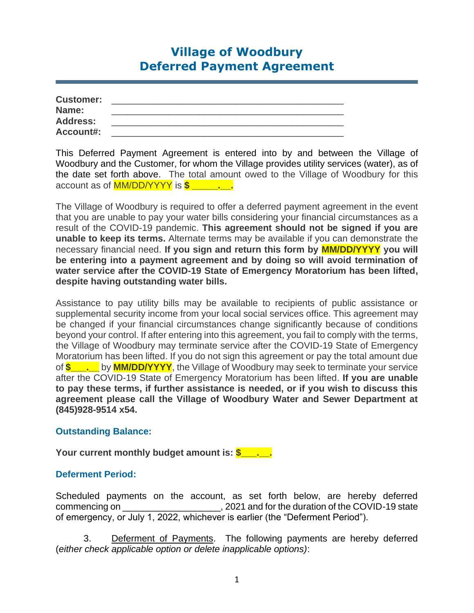# **Village of Woodbury Deferred Payment Agreement**

| <b>Customer:</b> |  |
|------------------|--|
| Name:            |  |
| <b>Address:</b>  |  |
| <b>Account#:</b> |  |

This Deferred Payment Agreement is entered into by and between the Village of Woodbury and the Customer, for whom the Village provides utility services (water), as of the date set forth above. The total amount owed to the Village of Woodbury for this account as of MM/DD/YYYY is **\$ \_\_\_\_\_.\_\_.**

The Village of Woodbury is required to offer a deferred payment agreement in the event that you are unable to pay your water bills considering your financial circumstances as a result of the COVID-19 pandemic. **This agreement should not be signed if you are unable to keep its terms.** Alternate terms may be available if you can demonstrate the necessary financial need. **If you sign and return this form by MM/DD/YYYY you will be entering into a payment agreement and by doing so will avoid termination of water service after the COVID-19 State of Emergency Moratorium has been lifted, despite having outstanding water bills.** 

Assistance to pay utility bills may be available to recipients of public assistance or supplemental security income from your local social services office. This agreement may be changed if your financial circumstances change significantly because of conditions beyond your control. If after entering into this agreement, you fail to comply with the terms, the Village of Woodbury may terminate service after the COVID-19 State of Emergency Moratorium has been lifted. If you do not sign this agreement or pay the total amount due of **\$\_\_\_.\_\_** by **MM/DD/YYYY**, the Village of Woodbury may seek to terminate your service after the COVID-19 State of Emergency Moratorium has been lifted. **If you are unable to pay these terms, if further assistance is needed, or if you wish to discuss this agreement please call the Village of Woodbury Water and Sewer Department at (845)928-9514 x54.**

# **Outstanding Balance:**

**Your current monthly budget amount is: \$\_\_\_\_.** 

# **Deferment Period:**

Scheduled payments on the account, as set forth below, are hereby deferred commencing on  $\qquad \qquad$  , 2021 and for the duration of the COVID-19 state of emergency, or July 1, 2022, whichever is earlier (the "Deferment Period").

3. Deferment of Payments. The following payments are hereby deferred (*either check applicable option or delete inapplicable options)*: